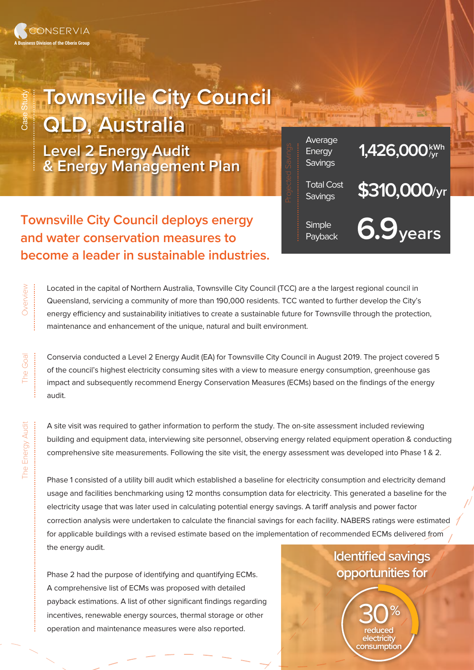......................................

## **Townsville City Council**

**QLD, Australia**

**Level 2 Energy Audit & Energy Management Plan**



Located in the capital of Northern Australia, Townsville City Council (TCC) are a the largest regional council in Queensland, servicing a community of more than 190,000 residents. TCC wanted to further develop the City's energy efficiency and sustainability initiatives to create a sustainable future for Townsville through the protection, maintenance and enhancement of the unique, natural and built environment.

Conservia conducted a Level 2 Energy Audit (EA) for Townsville City Council in August 2019. The project covered 5 of the council's highest electricity consuming sites with a view to measure energy consumption, greenhouse gas impact and subsequently recommend Energy Conservation Measures (ECMs) based on the findings of the energy audit.

A site visit was required to gather information to perform the study. The on-site assessment included reviewing building and equipment data, interviewing site personnel, observing energy related equipment operation & conducting comprehensive site measurements. Following the site visit, the energy assessment was developed into Phase 1 & 2.

Phase 1 consisted of a utility bill audit which established a baseline for electricity consumption and electricity demand usage and facilities benchmarking using 12 months consumption data for electricity. This generated a baseline for the electricity usage that was later used in calculating potential energy savings. A tariff analysis and power factor correction analysis were undertaken to calculate the financial savings for each facility. NABERS ratings were estimated for applicable buildings with a revised estimate based on the implementation of recommended ECMs delivered from the energy audit.

Phase 2 had the purpose of identifying and quantifying ECMs. A comprehensive list of ECMs was proposed with detailed payback estimations. A list of other significant findings regarding incentives, renewable energy sources, thermal storage or other operation and maintenance measures were also reported.

## **Identified savings opportunities for**

**%** 30 **reduced electricity consumption**

Total Cost **\$310,000**/yr

Average<br>Energy **1,426,000** k<sup>Wh</sup>

Payback **6.9years**

**Savings** 

..............................................

**Energy Savings** 

**Simple** 

Overview Overview

The Goal

......................

Energy Audit The Energy Audit

<u>Pu</u>

..................................................................................................